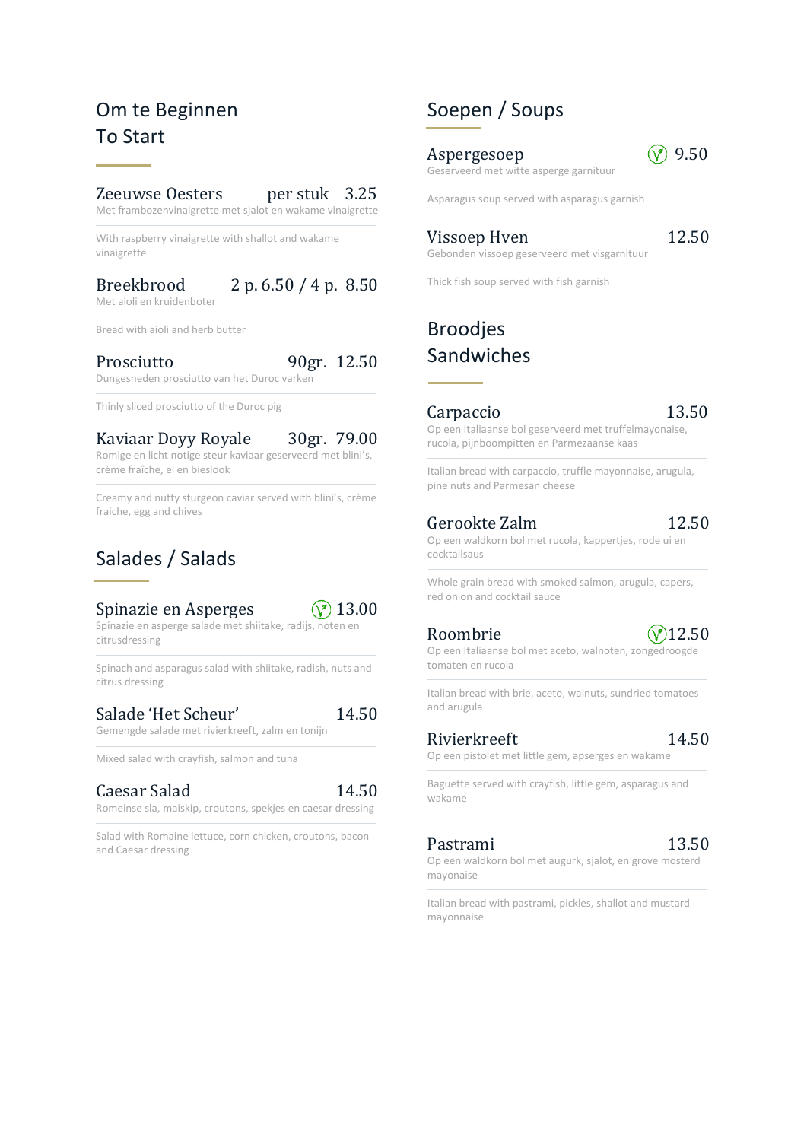# Om te Beginnen To Start

#### Zeeuwse Oesters per stuk 3.25

Met frambozenvinaigrette met sjalot en wakame vinaigrette

With raspberry vinaigrette with shallot and wakame vinaigrette

#### Breekbrood 2 p. 6.50 / 4 p. 8.50 Met aioli en kruidenboter

Bread with aioli and herb butter

# Prosciutto 90gr. 12.50

Dungesneden prosciutto van het Duroc varken

Thinly sliced prosciutto of the Duroc pig

## Kaviaar Doyy Royale 30gr. 79.00

Romige en licht notige steur kaviaar geserveerd met blini's, crème fraîche, ei en bieslook

Creamy and nutty sturgeon caviar served with blini's, crème fraiche, egg and chives

# Salades / Salads

### Spinazie en Asperges  $\sqrt{\gamma}$  13.00



Spinazie en asperge salade met shiitake, radijs, noten en citrusdressing

Spinach and asparagus salad with shiitake, radish, nuts and citrus dressing

### Salade 'Het Scheur' 14.50

Gemengde salade met rivierkreeft, zalm en tonijn

Mixed salad with crayfish, salmon and tuna

### Caesar Salad 14.50

Romeinse sla, maiskip, croutons, spekjes en caesar dressing

Salad with Romaine lettuce, corn chicken, croutons, bacon and Caesar dressing

# Soepen / Soups

Aspergesoep  $\sqrt{}$  9.50 Geserveerd met witte asperge garnituur

Asparagus soup served with asparagus garnish

### Vissoep Hven 12.50 Gebonden vissoep geserveerd met visgarnituur

Thick fish soup served with fish garnish

# Broodjes Sandwiches

### Carpaccio 13.50

Op een Italiaanse bol geserveerd met truffelmayonaise, rucola, pijnboompitten en Parmezaanse kaas

Italian bread with carpaccio, truffle mayonnaise, arugula, pine nuts and Parmesan cheese

#### Gerookte Zalm 12.50

Op een waldkorn bol met rucola, kappertjes, rode ui en cocktailsaus

Whole grain bread with smoked salmon, arugula, capers, red onion and cocktail sauce

## Roombrie  $(\sqrt{2})12.50$

Op een Italiaanse bol met aceto, walnoten, zongedroogde tomaten en rucola

Italian bread with brie, aceto, walnuts, sundried tomatoes and arugula

#### Rivierkreeft 14.50

Baguette served with crayfish, little gem, asparagus and wakame

Op een pistolet met little gem, apserges en wakame

### Pastrami 13.50

Op een waldkorn bol met augurk, sjalot, en grove mosterd mayonaise

Italian bread with pastrami, pickles, shallot and mustard mayonnaise